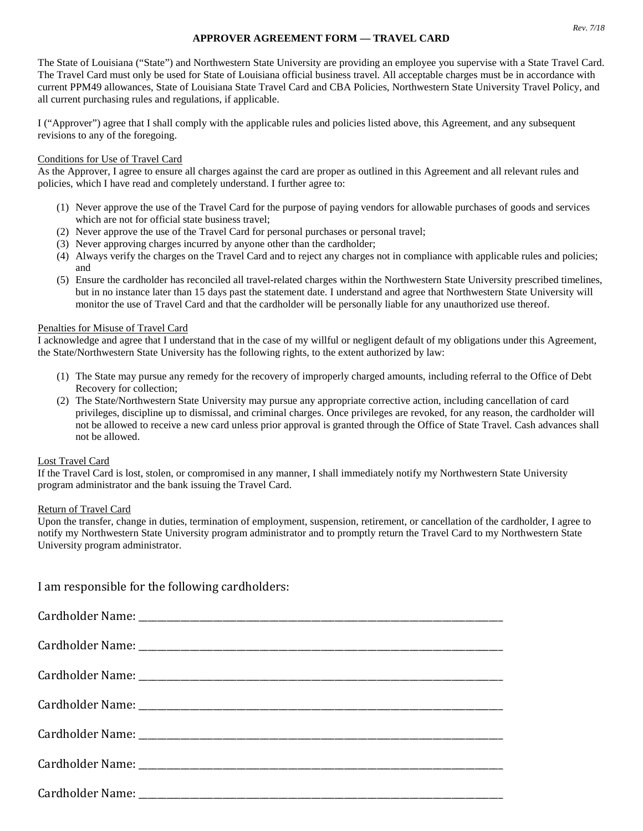## **APPROVER AGREEMENT FORM — TRAVEL CARD**

The State of Louisiana ("State") and Northwestern State University are providing an employee you supervise with a State Travel Card. The Travel Card must only be used for State of Louisiana official business travel. All acceptable charges must be in accordance with current PPM49 allowances, State of Louisiana State Travel Card and CBA Policies, Northwestern State University Travel Policy, and all current purchasing rules and regulations, if applicable.

I ("Approver") agree that I shall comply with the applicable rules and policies listed above, this Agreement, and any subsequent revisions to any of the foregoing.

#### Conditions for Use of Travel Card

As the Approver, I agree to ensure all charges against the card are proper as outlined in this Agreement and all relevant rules and policies, which I have read and completely understand. I further agree to:

- (1) Never approve the use of the Travel Card for the purpose of paying vendors for allowable purchases of goods and services which are not for official state business travel;
- (2) Never approve the use of the Travel Card for personal purchases or personal travel;
- (3) Never approving charges incurred by anyone other than the cardholder;
- (4) Always verify the charges on the Travel Card and to reject any charges not in compliance with applicable rules and policies; and
- (5) Ensure the cardholder has reconciled all travel-related charges within the Northwestern State University prescribed timelines, but in no instance later than 15 days past the statement date. I understand and agree that Northwestern State University will monitor the use of Travel Card and that the cardholder will be personally liable for any unauthorized use thereof.

## Penalties for Misuse of Travel Card

I acknowledge and agree that I understand that in the case of my willful or negligent default of my obligations under this Agreement, the State/Northwestern State University has the following rights, to the extent authorized by law:

- (1) The State may pursue any remedy for the recovery of improperly charged amounts, including referral to the Office of Debt Recovery for collection;
- (2) The State/Northwestern State University may pursue any appropriate corrective action, including cancellation of card privileges, discipline up to dismissal, and criminal charges. Once privileges are revoked, for any reason, the cardholder will not be allowed to receive a new card unless prior approval is granted through the Office of State Travel. Cash advances shall not be allowed.

## Lost Travel Card

If the Travel Card is lost, stolen, or compromised in any manner, I shall immediately notify my Northwestern State University program administrator and the bank issuing the Travel Card.

# Return of Travel Card

Upon the transfer, change in duties, termination of employment, suspension, retirement, or cancellation of the cardholder, I agree to notify my Northwestern State University program administrator and to promptly return the Travel Card to my Northwestern State University program administrator.

I am responsible for the following cardholders: